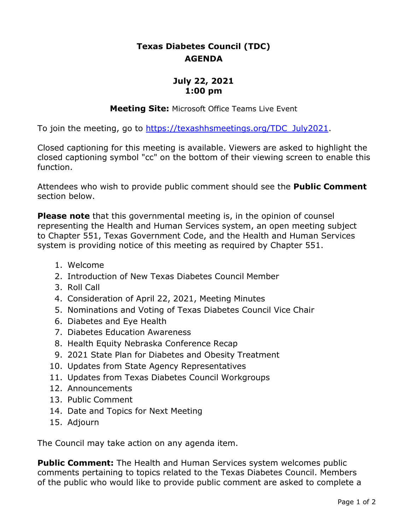## **Texas Diabetes Council (TDC) AGENDA**

## **July 22, 2021 1:00 pm**

## **Meeting Site:** Microsoft Office Teams Live Event

To join the meeting, go to [https://texashhsmeetings.org/TDC\\_July2021.](https://texashhsmeetings.org/TDC_July2021)

 Closed captioning for this meeting is available. Viewers are asked to highlight the closed captioning symbol "cc" on the bottom of their viewing screen to enable this function.

Attendees who wish to provide public comment should see the **Public Comment**  section below.

**Please note** that this governmental meeting is, in the opinion of counsel representing the Health and Human Services system, an open meeting subject to Chapter 551, Texas Government Code, and the Health and Human Services system is providing notice of this meeting as required by Chapter 551.

- 1. Welcome
- 2. Introduction of New Texas Diabetes Council Member
- 3. Roll Call
- 4. Consideration of April 22, 2021, Meeting Minutes
- 5. Nominations and Voting of Texas Diabetes Council Vice Chair
- 6. Diabetes and Eye Health
- 7. Diabetes Education Awareness
- 8. Health Equity Nebraska Conference Recap
- 9. 2021 State Plan for Diabetes and Obesity Treatment
- 10. Updates from State Agency Representatives
- 11. Updates from Texas Diabetes Council Workgroups
- 12. Announcements
- 13. Public Comment
- 14. Date and Topics for Next Meeting
- 15. Adjourn

The Council may take action on any agenda item.

**Public Comment:** The Health and Human Services system welcomes public comments pertaining to topics related to the Texas Diabetes Council. Members of the public who would like to provide public comment are asked to complete a